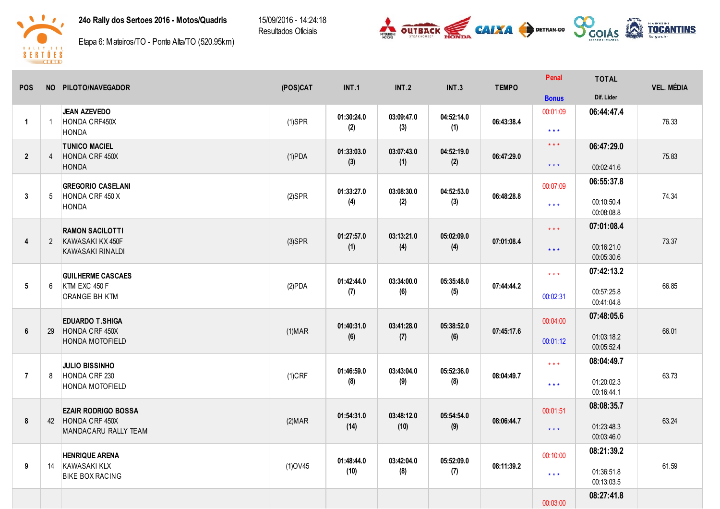

15/09/2016 - 14:24:18 Resultados Oficiais



**D**enal



Etapa 6: Mateiros/TO - Ponte Alta/TO (520.95km)

| <b>POS</b>           |                | NO PILOTO/NAVEGADOR                                                     | (POS)CAT       | INT.1              | <b>INT.2</b>       | <b>INT.3</b>      | <b>TEMPO</b> | Penal                                              | <b>TOTAL</b>                           | <b>VEL. MÉDIA</b> |
|----------------------|----------------|-------------------------------------------------------------------------|----------------|--------------------|--------------------|-------------------|--------------|----------------------------------------------------|----------------------------------------|-------------------|
|                      |                |                                                                         |                |                    |                    |                   |              | <b>Bonus</b>                                       | Dif. Lider                             |                   |
| $\blacktriangleleft$ | $\overline{1}$ | <b>JEAN AZEVEDO</b><br>HONDA CRF450X<br><b>HONDA</b>                    | $(1)$ SPR      | 01:30:24.0<br>(2)  | 03:09:47.0<br>(3)  | 04:52:14.0<br>(1) | 06:43:38.4   | 00:01:09<br>$\star$ $\star$ $\star$                | 06:44:47.4                             | 76.33             |
| $\overline{2}$       | $\overline{4}$ | <b>TUNICO MACIEL</b><br>HONDA CRF 450X<br><b>HONDA</b>                  | $(1)$ PDA      | 01:33:03.0<br>(3)  | 03:07:43.0<br>(1)  | 04:52:19.0<br>(2) | 06:47:29.0   | $\star$ $\star$ $\star$<br>$\star$ $\star$ $\star$ | 06:47:29.0<br>00:02:41.6               | 75.83             |
| 3                    | 5              | <b>GREGORIO CASELANI</b><br>HONDA CRF 450 X<br>HONDA                    | $(2)$ SPR      | 01:33:27.0<br>(4)  | 03:08:30.0<br>(2)  | 04:52:53.0<br>(3) | 06:48:28.8   | 00:07:09<br>$\star$ $\star$ $\star$                | 06:55:37.8<br>00:10:50.4<br>00:08:08.8 | 74.34             |
| $\overline{4}$       | $2^{\circ}$    | <b>RAMON SACILOTTI</b><br>KAWASAKI KX 450F<br>KAWASAKI RINALDI          | $(3)$ SPR      | 01:27:57.0<br>(1)  | 03:13:21.0<br>(4)  | 05:02:09.0<br>(4) | 07:01:08.4   | $\star \star \star$<br>$\star \star \star$         | 07:01:08.4<br>00:16:21.0<br>00:05:30.6 | 73.37             |
| $5\phantom{.0}$      | 6              | <b>GUILHERME CASCAES</b><br>KTM EXC 450 F<br>ORANGE BH KTM              | (2)PDA         | 01:42:44.0<br>(7)  | 03:34:00.0<br>(6)  | 05:35:48.0<br>(5) | 07:44:44.2   | $\star\star\star$<br>00:02:31                      | 07:42:13.2<br>00:57:25.8<br>00:41:04.8 | 66.85             |
| 6                    | 29             | <b>EDUARDO T.SHIGA</b><br>HONDA CRF 450X<br>HONDA MOTOFIELD             | $(1)$ MAR      | 01:40:31.0<br>(6)  | 03:41:28.0<br>(7)  | 05:38:52.0<br>(6) | 07:45:17.6   | 00:04:00<br>00:01:12                               | 07:48:05.6<br>01:03:18.2<br>00:05:52.4 | 66.01             |
| $\overline{7}$       | 8              | <b>JULIO BISSINHO</b><br>HONDA CRF 230<br>HONDA MOTOFIELD               | $(1)$ CRF      | 01:46:59.0<br>(8)  | 03:43:04.0<br>(9)  | 05:52:36.0<br>(8) | 08:04:49.7   | $***$<br>$\star$ $\star$ $\star$                   | 08:04:49.7<br>01:20:02.3<br>00:16:44.1 | 63.73             |
| 8                    |                | <b>EZAIR RODRIGO BOSSA</b><br>42 HONDA CRF 450X<br>MANDACARU RALLY TEAM | (2) <b>MAR</b> | 01:54:31.0<br>(14) | 03:48:12.0<br>(10) | 05:54:54.0<br>(9) | 08:06:44.7   | 00:01:51<br>$\star$ $\star$ $\star$                | 08:08:35.7<br>01:23:48.3<br>00:03:46.0 | 63.24             |
| 9                    | 14             | <b>HENRIQUE ARENA</b><br>KAWASAKI KLX<br><b>BIKE BOX RACING</b>         | $(1)$ OV45     | 01:48:44.0<br>(10) | 03:42:04.0<br>(8)  | 05:52:09.0<br>(7) | 08:11:39.2   | 00:10:00<br>$\star\star\star$                      | 08:21:39.2<br>01:36:51.8<br>00:13:03.5 | 61.59             |
|                      |                |                                                                         |                |                    |                    |                   |              | 00:03:00                                           | 08:27:41.8                             |                   |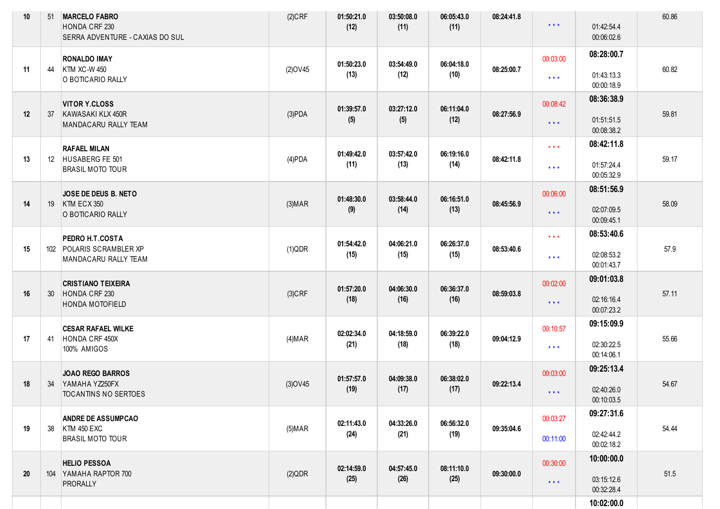| 10 | 51 | <b>MARCELO FABRO</b><br>HONDA CRF 230<br>SERRA ADVENTURE - CAXIAS DO SUL   | $(2)$ CRF      | 01:50:21.0<br>(12) | 03:50:08.0<br>(11) | 06:05:43.0<br>(11) | 08:24:41.8 | $***$                                          | 01:42:54.4<br>00:06:02.6               | 60.86 |
|----|----|----------------------------------------------------------------------------|----------------|--------------------|--------------------|--------------------|------------|------------------------------------------------|----------------------------------------|-------|
| 11 | 44 | <b>RONALDO IMAY</b><br><b>KTM XC-W 450</b><br>O BOTICARIO RALLY            | $(2)$ OV45     | 01:50:23.0<br>(13) | 03:54:49.0<br>(12) | 06:04:18.0<br>(10) | 08:25:00.7 | 00:03:00<br>$***$                              | 08:28:00.7<br>01:43:13.3<br>00:00:18.9 | 60.82 |
| 12 | 37 | <b>VITOR Y.CLOSS</b><br>KAWASAKI KLX 450R<br>MANDACARU RALLY TEAM          | (3)PDA         | 01:39:57.0<br>(5)  | 03:27:12.0<br>(5)  | 06:11:04.0<br>(12) | 08:27:56.9 | 00:08:42<br>$***$                              | 08:36:38.9<br>01:51:51.5<br>00:08:38.2 | 59.81 |
| 13 |    | <b>RAFAEL MILAN</b><br>12 HUSABERG FE 501<br><b>BRASIL MOTO TOUR</b>       | $(4)$ PDA      | 01:49:42.0<br>(11) | 03:57:42.0<br>(13) | 06:19:16.0<br>(14) | 08:42:11.8 | $\star \star \star$<br>$\star$ $\star$ $\star$ | 08:42:11.8<br>01:57:24.4<br>00:05:32.9 | 59.17 |
| 14 |    | JOSE DE DEUS B. NETO<br>19 KTM ECX 350<br>O BOTICARIO RALLY                | (3) <b>MAR</b> | 01:48:30.0<br>(9)  | 03:58:44.0<br>(14) | 06:16:51.0<br>(13) | 08:45:56.9 | 00:06:00<br>$***$                              | 08:51:56.9<br>02:07:09.5<br>00:09:45.1 | 58.09 |
| 15 |    | PEDRO H.T.COSTA<br>102 POLARIS SCRAMBLER XP<br>MANDACARU RALLY TEAM        | (1)QDR         | 01:54:42.0<br>(15) | 04:06:21.0<br>(15) | 06:26:37.0<br>(15) | 08:53:40.6 | $***$<br>$***$                                 | 08:53:40.6<br>02:08:53.2<br>00:01:43.7 | 57.9  |
| 16 | 30 | <b>CRISTIANO TEIXEIRA</b><br>HONDA CRF 230<br><b>HONDA MOTOFIELD</b>       | $(3)$ CRF      | 01:57:20.0<br>(18) | 04:06:30.0<br>(16) | 06:36:37.0<br>(16) | 08:59:03.8 | 00:02:00<br>$***$                              | 09:01:03.8<br>02:16:16.4<br>00:07:23.2 | 57.11 |
| 17 | 41 | <b>CESAR RAFAEL WILKE</b><br>HONDA CRF 450X<br>100% AMIGOS                 | (4) <b>MAR</b> | 02:02:34.0<br>(21) | 04:18:59.0<br>(18) | 06:39:22.0<br>(18) | 09:04:12.9 | 00:10:57<br>$***$                              | 09:15:09.9<br>02:30:22.5<br>00:14:06.1 | 55.66 |
| 18 | 34 | <b>JOAO REGO BARROS</b><br>YAMAHA YZ250FX<br><b>TOCANTINS NO SERTOES</b>   | $(3)$ OV45     | 01:57:57.0<br>(19) | 04:09:38.0<br>(17) | 06:38:02.0<br>(17) | 09:22:13.4 | 00:03:00<br>$***$                              | 09:25:13.4<br>02:40:26.0<br>00:10:03.5 | 54.67 |
| 19 | 38 | <b>ANDRE DE ASSUMPCAO</b><br><b>KTM 450 EXC</b><br><b>BRASIL MOTO TOUR</b> | $(5)$ MAR      | 02:11:43.0<br>(24) | 04:33:26.0<br>(21) | 06:56:32.0<br>(19) | 09:35:04.6 | 00:03:27<br>00:11:00                           | 09:27:31.6<br>02:42:44.2<br>00:02:18.2 | 54.44 |
| 20 |    | <b>HELIO PESSOA</b><br>104 YAMAHA RAPTOR 700<br><b>PRORALLY</b>            | (2)QDR         | 02:14:59.0<br>(25) | 04:57:45.0<br>(26) | 08:11:10.0<br>(25) | 09:30:00.0 | 00:30:00<br>$***$                              | 10:00:00.0<br>03:15:12.6<br>00:32:28.4 | 51.5  |
|    |    |                                                                            |                |                    |                    |                    |            |                                                | 10:02:00.0                             |       |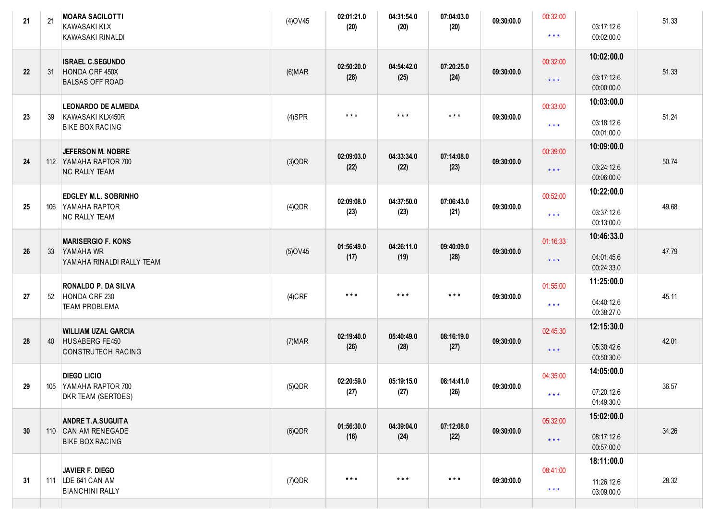| 10:02:00.0<br><b>ISRAEL C.SEGUNDO</b><br>00:32:00<br>04:54:42.0<br>07:20:25.0<br>02:50:20.0<br>HONDA CRF 450X<br>51.33<br>22<br>31<br>(6) <b>MAR</b><br>09:30:00.0<br>(28)<br>(24)<br>(25)<br>03:17:12.6<br>$\star$ $\star$ $\star$<br><b>BALSAS OFF ROAD</b><br>00:00:00.0<br>10:03:00.0<br><b>LEONARDO DE ALMEIDA</b><br>00:33:00<br>$\star$ $\star$ $\star$<br>$\star$ $\star$ $\star$<br>$\star$ $\star$ $\star$<br>51.24<br>23<br>KAWASAKI KLX450R<br>$(4)$ SPR<br>09:30:00.0<br>39<br>03:18:12.6<br>$\star\star\star$<br><b>BIKE BOX RACING</b><br>00:01:00.0<br>10:09:00.0<br>JEFERSON M. NOBRE<br>00:39:00<br>02:09:03.0<br>04:33:34.0<br>07:14:08.0<br>112 YAMAHA RAPTOR 700<br>(3)QDR<br>09:30:00.0<br>50.74<br>24<br>(22)<br>(23)<br>(22)<br>03:24:12.6<br>$***$<br><b>NC RALLY TEAM</b><br>00:06:00.0<br>10:22:00.0<br>00:52:00<br>EDGLEY M.L. SOBRINHO<br>02:09:08.0<br>04:37:50.0<br>07:06:43.0<br>49.68<br>25<br>106 YAMAHA RAPTOR<br>09:30:00.0<br>$(4)$ QDR<br>(23)<br>(23)<br>(21)<br>03:37:12.6<br>$\star\star\star$<br><b>NC RALLY TEAM</b><br>00:13:00.0<br>10:46:33.0<br><b>MARISERGIO F. KONS</b><br>01:16:33<br>01:56:49.0<br>04:26:11.0<br>09:40:09.0<br>47.79<br>26<br>YAMAHA WR<br>33<br>$(5)$ OV45<br>09:30:00.0<br>(19)<br>(28)<br>(17)<br>04:01:45.6<br>$\star \star \star$<br>YAMAHA RINALDI RALLY TEAM<br>00:24:33.0<br>11:25:00.0<br>RONALDO P. DA SILVA<br>01:55:00<br>$\star$ $\star$ $\star$<br>$\star$ $\star$ $\star$<br>$***$<br>45.11<br>27<br>HONDA CRF 230<br>$(4)$ CRF<br>09:30:00.0<br>52<br>04:40:12.6<br>$\star\star\star$<br><b>TEAM PROBLEMA</b><br>00:38:27.0<br>12:15:30.0<br><b>WILLIAM UZAL GARCIA</b><br>02:45:30<br>08:16:19.0<br>02:19:40.0<br>05:40:49.0<br>42.01<br>28<br>HUSABERG FE450<br>09:30:00.0<br>(7) <b>MAR</b><br>40<br>(28)<br>(27)<br>(26)<br>05:30:42.6<br>$\star \star \star$<br>CONSTRUTECH RACING<br>00:50:30.0<br>14:05:00.0<br><b>DIEGO LICIO</b><br>04:35:00<br>05:19:15.0<br>08:14:41.0<br>02:20:59.0<br>29<br>105<br>YAMAHA RAPTOR 700<br>$(5)$ QDR<br>09:30:00.0<br>36.57<br>(27)<br>(26)<br>(27)<br>07:20:12.6<br>* * *<br>DKR TEAM (SERTOES) |
|-------------------------------------------------------------------------------------------------------------------------------------------------------------------------------------------------------------------------------------------------------------------------------------------------------------------------------------------------------------------------------------------------------------------------------------------------------------------------------------------------------------------------------------------------------------------------------------------------------------------------------------------------------------------------------------------------------------------------------------------------------------------------------------------------------------------------------------------------------------------------------------------------------------------------------------------------------------------------------------------------------------------------------------------------------------------------------------------------------------------------------------------------------------------------------------------------------------------------------------------------------------------------------------------------------------------------------------------------------------------------------------------------------------------------------------------------------------------------------------------------------------------------------------------------------------------------------------------------------------------------------------------------------------------------------------------------------------------------------------------------------------------------------------------------------------------------------------------------------------------------------------------------------------------------------------------------------------------------------------------------------------------------------------------------------------------------------------------------------------------------------|
|                                                                                                                                                                                                                                                                                                                                                                                                                                                                                                                                                                                                                                                                                                                                                                                                                                                                                                                                                                                                                                                                                                                                                                                                                                                                                                                                                                                                                                                                                                                                                                                                                                                                                                                                                                                                                                                                                                                                                                                                                                                                                                                               |
|                                                                                                                                                                                                                                                                                                                                                                                                                                                                                                                                                                                                                                                                                                                                                                                                                                                                                                                                                                                                                                                                                                                                                                                                                                                                                                                                                                                                                                                                                                                                                                                                                                                                                                                                                                                                                                                                                                                                                                                                                                                                                                                               |
|                                                                                                                                                                                                                                                                                                                                                                                                                                                                                                                                                                                                                                                                                                                                                                                                                                                                                                                                                                                                                                                                                                                                                                                                                                                                                                                                                                                                                                                                                                                                                                                                                                                                                                                                                                                                                                                                                                                                                                                                                                                                                                                               |
|                                                                                                                                                                                                                                                                                                                                                                                                                                                                                                                                                                                                                                                                                                                                                                                                                                                                                                                                                                                                                                                                                                                                                                                                                                                                                                                                                                                                                                                                                                                                                                                                                                                                                                                                                                                                                                                                                                                                                                                                                                                                                                                               |
|                                                                                                                                                                                                                                                                                                                                                                                                                                                                                                                                                                                                                                                                                                                                                                                                                                                                                                                                                                                                                                                                                                                                                                                                                                                                                                                                                                                                                                                                                                                                                                                                                                                                                                                                                                                                                                                                                                                                                                                                                                                                                                                               |
|                                                                                                                                                                                                                                                                                                                                                                                                                                                                                                                                                                                                                                                                                                                                                                                                                                                                                                                                                                                                                                                                                                                                                                                                                                                                                                                                                                                                                                                                                                                                                                                                                                                                                                                                                                                                                                                                                                                                                                                                                                                                                                                               |
|                                                                                                                                                                                                                                                                                                                                                                                                                                                                                                                                                                                                                                                                                                                                                                                                                                                                                                                                                                                                                                                                                                                                                                                                                                                                                                                                                                                                                                                                                                                                                                                                                                                                                                                                                                                                                                                                                                                                                                                                                                                                                                                               |
| 01:49:30.0                                                                                                                                                                                                                                                                                                                                                                                                                                                                                                                                                                                                                                                                                                                                                                                                                                                                                                                                                                                                                                                                                                                                                                                                                                                                                                                                                                                                                                                                                                                                                                                                                                                                                                                                                                                                                                                                                                                                                                                                                                                                                                                    |
| 15:02:00.0<br>05:32:00<br><b>ANDRE T.A.SUGUITA</b><br>01:56:30.0<br>04:39:04.0<br>07:12:08.0<br>34.26<br>30<br>110 CAN AM RENEGADE<br>09:30:00.0<br>$(6)$ QDR<br>(16)<br>(24)<br>(22)<br>08:17:12.6<br>$\star$ $\star$ $\star$<br><b>BIKE BOX RACING</b><br>00:57:00.0                                                                                                                                                                                                                                                                                                                                                                                                                                                                                                                                                                                                                                                                                                                                                                                                                                                                                                                                                                                                                                                                                                                                                                                                                                                                                                                                                                                                                                                                                                                                                                                                                                                                                                                                                                                                                                                        |
| 18:11:00.0<br>08:41:00<br>JAVIER F. DIEGO<br>$\star$ $\star$ $\star$<br>$\star$ $\star$ $\star$<br>$\star$ $\star$ $\star$<br>111 LDE 641 CAN AM<br>$(7)$ QDR<br>28.32<br>31<br>09:30:00.0<br>11:26:12.6<br>$\star$ $\star$ $\star$<br><b>BIANCHINI RALLY</b><br>03:09:00.0                                                                                                                                                                                                                                                                                                                                                                                                                                                                                                                                                                                                                                                                                                                                                                                                                                                                                                                                                                                                                                                                                                                                                                                                                                                                                                                                                                                                                                                                                                                                                                                                                                                                                                                                                                                                                                                   |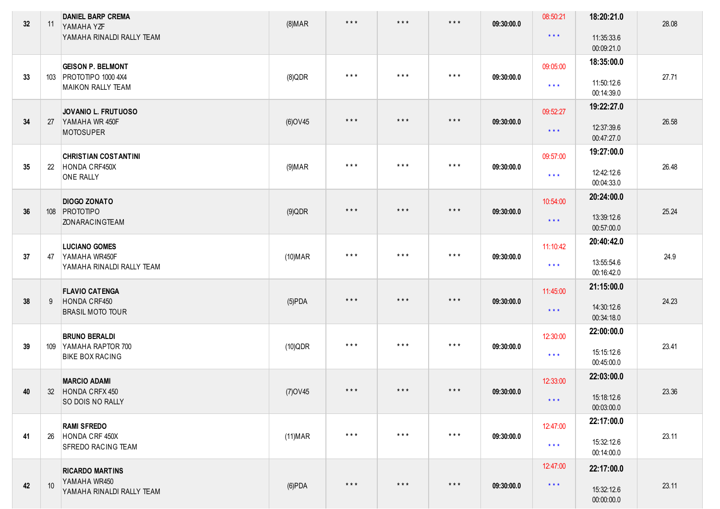| 32 | 11 | <b>DANIEL BARP CREMA</b><br>YAMAHA YZF             | (8) <b>MAR</b>  | $\star$ $\star$ $\star$ | $\star$ $\star$ $\star$ | $\star$ $\star$ $\star$ | 09:30:00.0 | 08:50:21                | 18:20:21.0               | 28.08 |
|----|----|----------------------------------------------------|-----------------|-------------------------|-------------------------|-------------------------|------------|-------------------------|--------------------------|-------|
|    |    | YAMAHA RINALDI RALLY TEAM                          |                 |                         |                         |                         |            | $\star$ $\star$ $\star$ | 11:35:33.6<br>00:09:21.0 |       |
|    |    | <b>GEISON P. BELMONT</b>                           |                 | $\star$ $\star$ $\star$ | $\star$ $\star$ $\star$ | $\star$ $\star$ $\star$ |            | 09:05:00                | 18:35:00.0               |       |
| 33 |    | 103 PROTOTIPO 1000 4X4<br><b>MAIKON RALLY TEAM</b> | $(8)$ QDR       |                         |                         |                         | 09:30:00.0 | $\star$ $\star$ $\star$ | 11:50:12.6<br>00:14:39.0 | 27.71 |
|    |    | JOVANIO L. FRUTUOSO                                |                 | $\star$ $\star$ $\star$ | $\star$ $\star$ $\star$ | $\star$ $\star$ $\star$ |            | 09:52:27                | 19:22:27.0               |       |
| 34 | 27 | YAMAHA WR 450F<br>MOTOSUPER                        | (6) OV45        |                         |                         |                         | 09:30:00.0 | $\star$ $\star$ $\star$ | 12:37:39.6<br>00:47:27.0 | 26.58 |
|    |    | <b>CHRISTIAN COSTANTINI</b>                        |                 |                         |                         |                         |            | 09:57:00                | 19:27:00.0               |       |
| 35 | 22 | HONDA CRF450X<br><b>ONE RALLY</b>                  | (9) <b>MAR</b>  | $\star$ $\star$ $\star$ | $\star$ $\star$ $\star$ | $\star$ $\star$ $\star$ | 09:30:00.0 | $\star$ $\star$ $\star$ | 12:42:12.6<br>00:04:33.0 | 26.48 |
|    |    | <b>DIOGO ZONATO</b>                                |                 |                         |                         |                         |            | 10:54:00                | 20:24:00.0               |       |
| 36 |    | 108 PROTOTIPO<br><b>ZONARACINGTEAM</b>             | $(9)$ QDR       | $\star$ $\star$ $\star$ | $\star$ $\star$ $\star$ | $\star$ $\star$ $\star$ | 09:30:00.0 | $\star$ $\star$ $\star$ | 13:39:12.6<br>00:57:00.0 | 25.24 |
|    |    | <b>LUCIANO GOMES</b>                               |                 | $\star$ $\star$ $\star$ | $\star$ $\star$ $\star$ | $\star$ $\star$ $\star$ |            | 11:10:42                | 20:40:42.0               |       |
| 37 | 47 | YAMAHA WR450F<br>YAMAHA RINALDI RALLY TEAM         | $(10)$ MAR      |                         |                         |                         | 09:30:00.0 | $\star$ $\star$ $\star$ | 13:55:54.6<br>00:16:42.0 | 24.9  |
|    |    | <b>FLAVIO CATENGA</b>                              |                 | $\star$ $\star$ $\star$ | $\star$ $\star$ $\star$ | $\star$ $\star$ $\star$ |            | 11:45:00                | 21:15:00.0               |       |
| 38 | 9  | HONDA CRF450<br><b>BRASIL MOTO TOUR</b>            | $(5)$ PDA       |                         |                         |                         | 09:30:00.0 | $\star$ $\star$ $\star$ | 14:30:12.6<br>00:34:18.0 | 24.23 |
|    |    | <b>BRUNO BERALDI</b>                               |                 | $\star$ $\star$ $\star$ | $\star$ $\star$ $\star$ | $\star$ $\star$ $\star$ |            | 12:30:00                | 22:00:00.0               |       |
| 39 |    | 109 YAMAHA RAPTOR 700<br><b>BIKE BOX RACING</b>    | $(10)$ QDR      |                         |                         |                         | 09:30:00.0 | $\star$ $\star$ $\star$ | 15:15:12.6<br>00:45:00.0 | 23.41 |
|    |    | <b>MARCIO ADAMI</b>                                |                 | $\star$ $\star$ $\star$ | $\star$ $\star$ $\star$ | $\star$ $\star$ $\star$ |            | 12:33:00                | 22:03:00.0               |       |
| 40 |    | 32 HONDA CRFX 450<br>SO DOIS NO RALLY              | $(7)$ OV45      |                         |                         |                         | 09:30:00.0 | $\star$ $\star$ $\star$ | 15:18:12.6<br>00:03:00.0 | 23.36 |
|    |    | <b>RAMI SFREDO</b>                                 |                 |                         |                         |                         |            | 12:47:00                | 22:17:00.0               |       |
| 41 | 26 | HONDA CRF 450X<br><b>SFREDO RACING TEAM</b>        | (11) <b>MAR</b> | $\star$ $\star$ $\star$ | $\star$ $\star$ $\star$ | $\star$ $\star$ $\star$ | 09:30:00.0 | $\star$ $\star$ $\star$ | 15:32:12.6<br>00:14:00.0 | 23.11 |
|    |    | <b>RICARDO MARTINS</b>                             |                 |                         |                         |                         |            | 12:47:00                | 22:17:00.0               |       |
| 42 | 10 | YAMAHA WR450<br>YAMAHA RINALDI RALLY TEAM          | $(6)$ PDA       | $\star$ $\star$ $\star$ | $\star$ $\star$ $\star$ | $\star$ $\star$ $\star$ | 09:30:00.0 | $\star$ $\star$ $\star$ | 15:32:12.6<br>00:00:00.0 | 23.11 |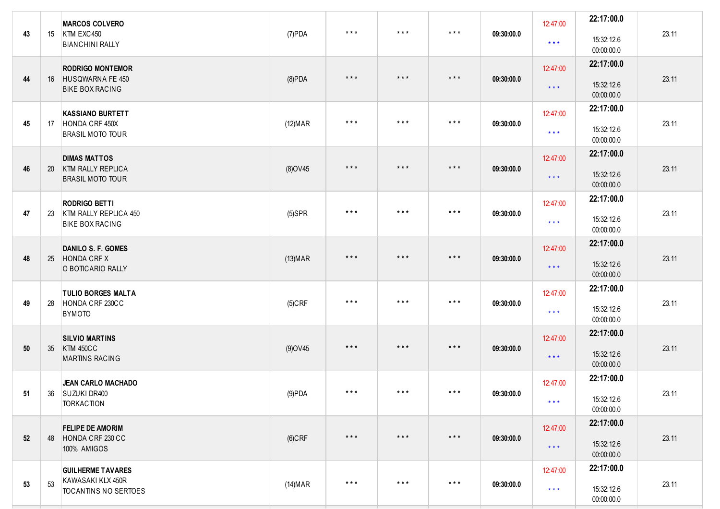| 43 | 15 | <b>MARCOS COLVERO</b><br>KTM EXC450<br><b>BIANCHINI RALLY</b>              | $(7)$ PDA       | $\star$ $\star$ $\star$ | $\star$ $\star$ $\star$ | $\star$ $\star$ $\star$ | 09:30:00.0 | 12:47:00<br>$\star$ $\star$ $\star$ | 22:17:00.0<br>15:32:12.6<br>00:00:00.0 | 23.11 |
|----|----|----------------------------------------------------------------------------|-----------------|-------------------------|-------------------------|-------------------------|------------|-------------------------------------|----------------------------------------|-------|
| 44 |    | <b>RODRIGO MONTEMOR</b><br>16 HUSQWARNA FE 450<br><b>BIKE BOX RACING</b>   | $(8)$ PDA       | $\star$ $\star$ $\star$ | $***$                   | $\star$ $\star$ $\star$ | 09:30:00.0 | 12:47:00<br>$\star$ $\star$ $\star$ | 22:17:00.0<br>15:32:12.6<br>00:00:00.0 | 23.11 |
| 45 | 17 | <b>KASSIANO BURTETT</b><br>HONDA CRF 450X<br><b>BRASIL MOTO TOUR</b>       | (12) <b>MAR</b> | $\star$ $\star$ $\star$ | $\star$ $\star$ $\star$ | $\star$ $\star$ $\star$ | 09:30:00.0 | 12:47:00<br>$\star$ $\star$ $\star$ | 22:17:00.0<br>15:32:12.6<br>00:00:00.0 | 23.11 |
| 46 | 20 | <b>DIMAS MATTOS</b><br><b>KTM RALLY REPLICA</b><br><b>BRASIL MOTO TOUR</b> | (8) OV45        | $\star$ $\star$ $\star$ | $***$                   | $\star$ $\star$ $\star$ | 09:30:00.0 | 12:47:00<br>$\star$ $\star$ $\star$ | 22:17:00.0<br>15:32:12.6<br>00:00:00.0 | 23.11 |
| 47 | 23 | <b>RODRIGO BETTI</b><br>KTM RALLY REPLICA 450<br><b>BIKE BOX RACING</b>    | $(5)$ SPR       | $\star$ $\star$ $\star$ | $\star$ $\star$ $\star$ | $\star$ $\star$ $\star$ | 09:30:00.0 | 12:47:00<br>$\star$ $\star$ $\star$ | 22:17:00.0<br>15:32:12.6<br>00:00:00.0 | 23.11 |
| 48 | 25 | <b>DANILO S. F. GOMES</b><br><b>HONDA CRF X</b><br>O BOTICARIO RALLY       | (13) <b>MAR</b> | $\star$ $\star$ $\star$ | $\star$ $\star$ $\star$ | $\star$ $\star$ $\star$ | 09:30:00.0 | 12:47:00<br>$\star$ $\star$ $\star$ | 22:17:00.0<br>15:32:12.6<br>00:00:00.0 | 23.11 |
| 49 | 28 | <b>TULIO BORGES MALTA</b><br>HONDA CRF 230CC<br><b>BYMOTO</b>              | $(5)$ CRF       | $***$                   | $\star$ $\star$ $\star$ | $\star$ $\star$ $\star$ | 09:30:00.0 | 12:47:00<br>$\star$ $\star$ $\star$ | 22:17:00.0<br>15:32:12.6<br>00:00:00.0 | 23.11 |
| 50 | 35 | <b>SILVIO MARTINS</b><br><b>KTM 450CC</b><br><b>MARTINS RACING</b>         | $(9)$ OV45      | $\star$ $\star$ $\star$ | $\star$ $\star$ $\star$ | $\star$ $\star$ $\star$ | 09:30:00.0 | 12:47:00<br>$\star$ $\star$ $\star$ | 22:17:00.0<br>15:32:12.6<br>00:00:00.0 | 23.11 |
| 51 |    | <b>JEAN CARLO MACHADO</b><br>36 SUZUKI DR400<br><b>TORKACTION</b>          | (9)PDA          | $***$                   | $\star$ $\star$ $\star$ | $***$                   | 09:30:00.0 | 12:47:00<br>$\star$ $\star$ $\star$ | 22:17:00.0<br>15:32:12.6<br>00:00:00.0 | 23.11 |
| 52 | 48 | <b>FELIPE DE AMORIM</b><br>HONDA CRF 230 CC<br>100% AMIGOS                 | $(6)$ CRF       | $\star$ $\star$ $\star$ | $\star$ $\star$ $\star$ | $\star$ $\star$ $\star$ | 09:30:00.0 | 12:47:00<br>$\star$ $\star$ $\star$ | 22:17:00.0<br>15:32:12.6<br>00:00:00.0 | 23.11 |
| 53 | 53 | <b>GUILHERME TAVARES</b><br>KAWASAKI KLX 450R<br>TOCANTINS NO SERTOES      | (14)MAR         | $\star$ $\star$ $\star$ | $\star$ $\star$ $\star$ | $\star$ $\star$ $\star$ | 09:30:00.0 | 12:47:00<br>$\star$ $\star$ $\star$ | 22:17:00.0<br>15:32:12.6<br>00:00:00.0 | 23.11 |